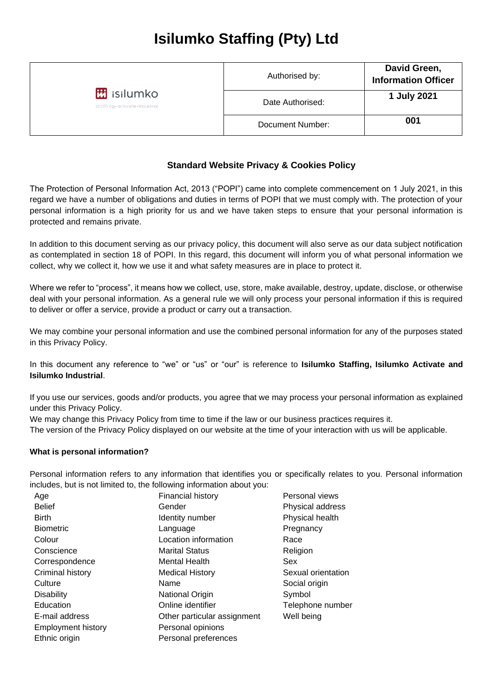| <b>M</b> isilumko<br>staffing + activate + Industrial | Authorised by:   | David Green,<br><b>Information Officer</b> |
|-------------------------------------------------------|------------------|--------------------------------------------|
|                                                       | Date Authorised: | 1 July 2021                                |
|                                                       | Document Number: | 001                                        |

# **Standard Website Privacy & Cookies Policy**

The Protection of Personal Information Act, 2013 ("POPI") came into complete commencement on 1 July 2021, in this regard we have a number of obligations and duties in terms of POPI that we must comply with. The protection of your personal information is a high priority for us and we have taken steps to ensure that your personal information is protected and remains private.

In addition to this document serving as our privacy policy, this document will also serve as our data subject notification as contemplated in section 18 of POPI. In this regard, this document will inform you of what personal information we collect, why we collect it, how we use it and what safety measures are in place to protect it.

Where we refer to "process", it means how we collect, use, store, make available, destroy, update, disclose, or otherwise deal with your personal information. As a general rule we will only process your personal information if this is required to deliver or offer a service, provide a product or carry out a transaction.

We may combine your personal information and use the combined personal information for any of the purposes stated in this Privacy Policy.

In this document any reference to "we" or "us" or "our" is reference to **Isilumko Staffing, Isilumko Activate and Isilumko Industrial**.

If you use our services, goods and/or products, you agree that we may process your personal information as explained under this Privacy Policy.

We may change this Privacy Policy from time to time if the law or our business practices requires it.

The version of the Privacy Policy displayed on our website at the time of your interaction with us will be applicable.

#### **What is personal information?**

Personal information refers to any information that identifies you or specifically relates to you. Personal information includes, but is not limited to, the following information about you:

| Age                       | <b>Financial history</b>    | Personal views     |
|---------------------------|-----------------------------|--------------------|
| <b>Belief</b>             | Gender                      | Physical address   |
| <b>Birth</b>              | Identity number             | Physical health    |
| <b>Biometric</b>          | Language                    | Pregnancy          |
| Colour                    | Location information        | Race               |
| Conscience                | <b>Marital Status</b>       | Religion           |
| Correspondence            | <b>Mental Health</b>        | Sex                |
| Criminal history          | <b>Medical History</b>      | Sexual orientation |
| Culture                   | Name                        | Social origin      |
| <b>Disability</b>         | <b>National Origin</b>      | Symbol             |
| Education                 | Online identifier           | Telephone number   |
| E-mail address            | Other particular assignment | Well being         |
| <b>Employment history</b> | Personal opinions           |                    |
| Ethnic origin             | Personal preferences        |                    |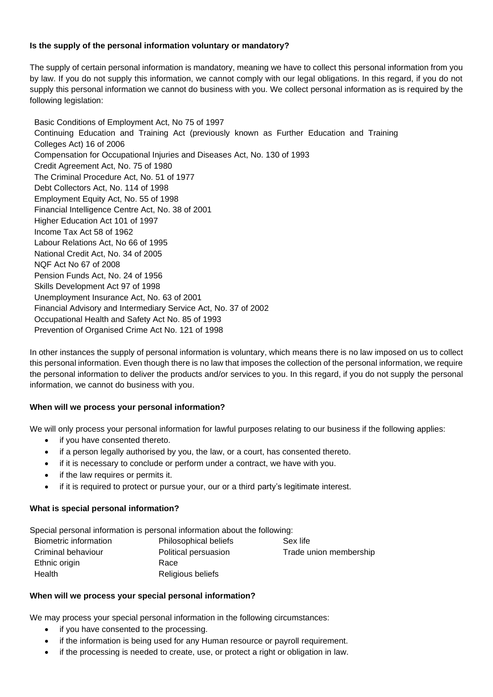### **Is the supply of the personal information voluntary or mandatory?**

The supply of certain personal information is mandatory, meaning we have to collect this personal information from you by law. If you do not supply this information, we cannot comply with our legal obligations. In this regard, if you do not supply this personal information we cannot do business with you. We collect personal information as is required by the following legislation:

Basic Conditions of Employment Act, No 75 of 1997 Continuing Education and Training Act (previously known as Further Education and Training Colleges Act) 16 of 2006 Compensation for Occupational Injuries and Diseases Act, No. 130 of 1993 Credit Agreement Act, No. 75 of 1980 The Criminal Procedure Act, No. 51 of 1977 Debt Collectors Act, No. 114 of 1998 Employment Equity Act, No. 55 of 1998 Financial Intelligence Centre Act, No. 38 of 2001 Higher Education Act 101 of 1997 Income Tax Act 58 of 1962 Labour Relations Act, No 66 of 1995 National Credit Act, No. 34 of 2005 NQF Act No 67 of 2008 Pension Funds Act, No. 24 of 1956 Skills Development Act 97 of 1998 Unemployment Insurance Act, No. 63 of 2001 Financial Advisory and Intermediary Service Act, No. 37 of 2002 Occupational Health and Safety Act No. 85 of 1993 Prevention of Organised Crime Act No. 121 of 1998

In other instances the supply of personal information is voluntary, which means there is no law imposed on us to collect this personal information. Even though there is no law that imposes the collection of the personal information, we require the personal information to deliver the products and/or services to you. In this regard, if you do not supply the personal information, we cannot do business with you.

## **When will we process your personal information?**

We will only process your personal information for lawful purposes relating to our business if the following applies:

- if you have consented thereto.
- if a person legally authorised by you, the law, or a court, has consented thereto.
- if it is necessary to conclude or perform under a contract, we have with you.
- if the law requires or permits it.
- if it is required to protect or pursue your, our or a third party's legitimate interest.

#### **What is special personal information?**

Special personal information is personal information about the following: Biometric information Philosophical beliefs Sex life Criminal behaviour Political persuasion Trade union membership Ethnic origin Race Health Religious beliefs

#### **When will we process your special personal information?**

We may process your special personal information in the following circumstances:

- if you have consented to the processing.
- if the information is being used for any Human resource or payroll requirement.
- if the processing is needed to create, use, or protect a right or obligation in law.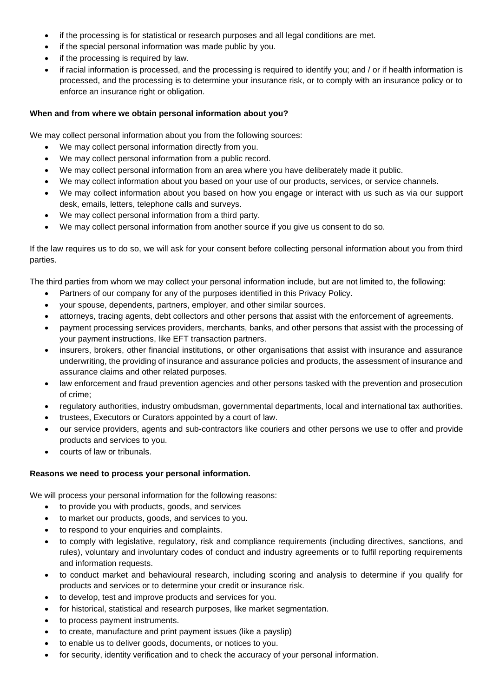- if the processing is for statistical or research purposes and all legal conditions are met.
- if the special personal information was made public by you.
- if the processing is required by law.
- if racial information is processed, and the processing is required to identify you; and / or if health information is processed, and the processing is to determine your insurance risk, or to comply with an insurance policy or to enforce an insurance right or obligation.

### **When and from where we obtain personal information about you?**

We may collect personal information about you from the following sources:

- We may collect personal information directly from you.
- We may collect personal information from a public record.
- We may collect personal information from an area where you have deliberately made it public.
- We may collect information about you based on your use of our products, services, or service channels.
- We may collect information about you based on how you engage or interact with us such as via our support desk, emails, letters, telephone calls and surveys.
- We may collect personal information from a third party.
- We may collect personal information from another source if you give us consent to do so.

If the law requires us to do so, we will ask for your consent before collecting personal information about you from third parties.

The third parties from whom we may collect your personal information include, but are not limited to, the following:

- Partners of our company for any of the purposes identified in this Privacy Policy.
- your spouse, dependents, partners, employer, and other similar sources.
- attorneys, tracing agents, debt collectors and other persons that assist with the enforcement of agreements.
- payment processing services providers, merchants, banks, and other persons that assist with the processing of your payment instructions, like EFT transaction partners.
- insurers, brokers, other financial institutions, or other organisations that assist with insurance and assurance underwriting, the providing of insurance and assurance policies and products, the assessment of insurance and assurance claims and other related purposes.
- law enforcement and fraud prevention agencies and other persons tasked with the prevention and prosecution of crime;
- regulatory authorities, industry ombudsman, governmental departments, local and international tax authorities.
- trustees, Executors or Curators appointed by a court of law.
- our service providers, agents and sub-contractors like couriers and other persons we use to offer and provide products and services to you.
- courts of law or tribunals.

#### **Reasons we need to process your personal information.**

We will process your personal information for the following reasons:

- to provide you with products, goods, and services
- to market our products, goods, and services to you.
- to respond to your enquiries and complaints.
- to comply with legislative, regulatory, risk and compliance requirements (including directives, sanctions, and rules), voluntary and involuntary codes of conduct and industry agreements or to fulfil reporting requirements and information requests.
- to conduct market and behavioural research, including scoring and analysis to determine if you qualify for products and services or to determine your credit or insurance risk.
- to develop, test and improve products and services for you.
- for historical, statistical and research purposes, like market segmentation.
- to process payment instruments.
- to create, manufacture and print payment issues (like a payslip)
- to enable us to deliver goods, documents, or notices to you.
- for security, identity verification and to check the accuracy of your personal information.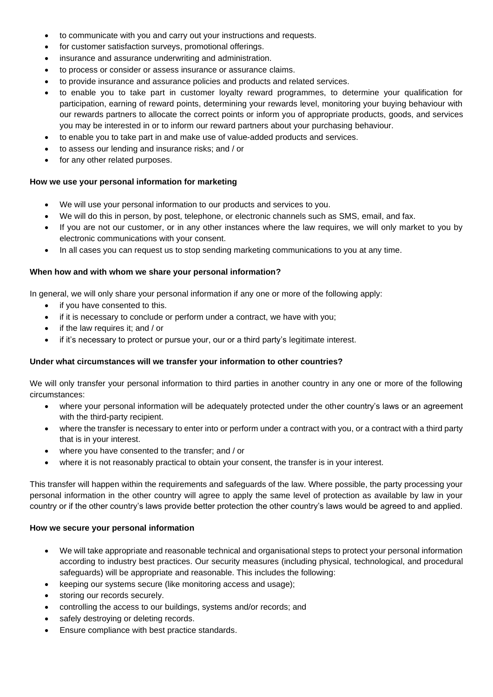- to communicate with you and carry out your instructions and requests.
- for customer satisfaction surveys, promotional offerings.
- insurance and assurance underwriting and administration.
- to process or consider or assess insurance or assurance claims.
- to provide insurance and assurance policies and products and related services.
- to enable you to take part in customer loyalty reward programmes, to determine your qualification for participation, earning of reward points, determining your rewards level, monitoring your buying behaviour with our rewards partners to allocate the correct points or inform you of appropriate products, goods, and services you may be interested in or to inform our reward partners about your purchasing behaviour.
- to enable you to take part in and make use of value-added products and services.
- to assess our lending and insurance risks; and / or
- for any other related purposes.

#### **How we use your personal information for marketing**

- We will use your personal information to our products and services to you.
- We will do this in person, by post, telephone, or electronic channels such as SMS, email, and fax.
- If you are not our customer, or in any other instances where the law requires, we will only market to you by electronic communications with your consent.
- In all cases you can request us to stop sending marketing communications to you at any time.

### **When how and with whom we share your personal information?**

In general, we will only share your personal information if any one or more of the following apply:

- if you have consented to this.
- if it is necessary to conclude or perform under a contract, we have with you;
- if the law requires it; and / or
- if it's necessary to protect or pursue your, our or a third party's legitimate interest.

#### **Under what circumstances will we transfer your information to other countries?**

We will only transfer your personal information to third parties in another country in any one or more of the following circumstances:

- where your personal information will be adequately protected under the other country's laws or an agreement with the third-party recipient.
- where the transfer is necessary to enter into or perform under a contract with you, or a contract with a third party that is in your interest.
- where you have consented to the transfer; and / or
- where it is not reasonably practical to obtain your consent, the transfer is in your interest.

This transfer will happen within the requirements and safeguards of the law. Where possible, the party processing your personal information in the other country will agree to apply the same level of protection as available by law in your country or if the other country's laws provide better protection the other country's laws would be agreed to and applied.

#### **How we secure your personal information**

- We will take appropriate and reasonable technical and organisational steps to protect your personal information according to industry best practices. Our security measures (including physical, technological, and procedural safeguards) will be appropriate and reasonable. This includes the following:
- keeping our systems secure (like monitoring access and usage);
- storing our records securely.
- controlling the access to our buildings, systems and/or records; and
- safely destroying or deleting records.
- Ensure compliance with best practice standards.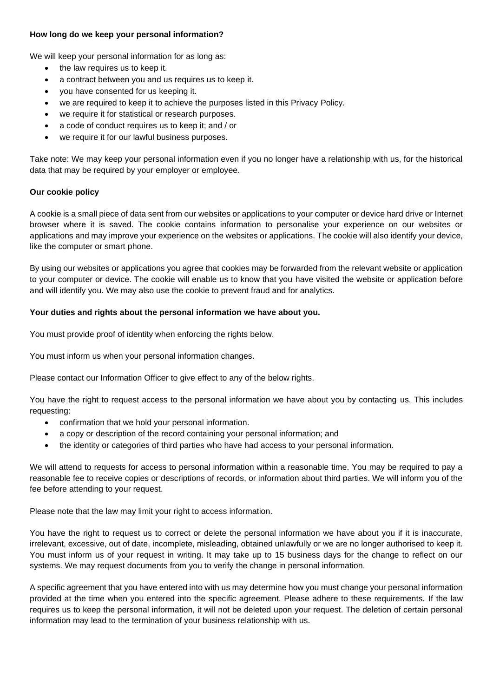#### **How long do we keep your personal information?**

We will keep your personal information for as long as:

- the law requires us to keep it.
- a contract between you and us requires us to keep it.
- you have consented for us keeping it.
- we are required to keep it to achieve the purposes listed in this Privacy Policy.
- we require it for statistical or research purposes.
- a code of conduct requires us to keep it; and / or
- we require it for our lawful business purposes.

Take note: We may keep your personal information even if you no longer have a relationship with us, for the historical data that may be required by your employer or employee.

#### **Our cookie policy**

A cookie is a small piece of data sent from our websites or applications to your computer or device hard drive or Internet browser where it is saved. The cookie contains information to personalise your experience on our websites or applications and may improve your experience on the websites or applications. The cookie will also identify your device, like the computer or smart phone.

By using our websites or applications you agree that cookies may be forwarded from the relevant website or application to your computer or device. The cookie will enable us to know that you have visited the website or application before and will identify you. We may also use the cookie to prevent fraud and for analytics.

#### **Your duties and rights about the personal information we have about you.**

You must provide proof of identity when enforcing the rights below.

You must inform us when your personal information changes.

Please contact our Information Officer to give effect to any of the below rights.

You have the right to request access to the personal information we have about you by contacting us. This includes requesting:

- confirmation that we hold your personal information.
- a copy or description of the record containing your personal information; and
- the identity or categories of third parties who have had access to your personal information.

We will attend to requests for access to personal information within a reasonable time. You may be required to pay a reasonable fee to receive copies or descriptions of records, or information about third parties. We will inform you of the fee before attending to your request.

Please note that the law may limit your right to access information.

You have the right to request us to correct or delete the personal information we have about you if it is inaccurate, irrelevant, excessive, out of date, incomplete, misleading, obtained unlawfully or we are no longer authorised to keep it. You must inform us of your request in writing. It may take up to 15 business days for the change to reflect on our systems. We may request documents from you to verify the change in personal information.

A specific agreement that you have entered into with us may determine how you must change your personal information provided at the time when you entered into the specific agreement. Please adhere to these requirements. If the law requires us to keep the personal information, it will not be deleted upon your request. The deletion of certain personal information may lead to the termination of your business relationship with us.